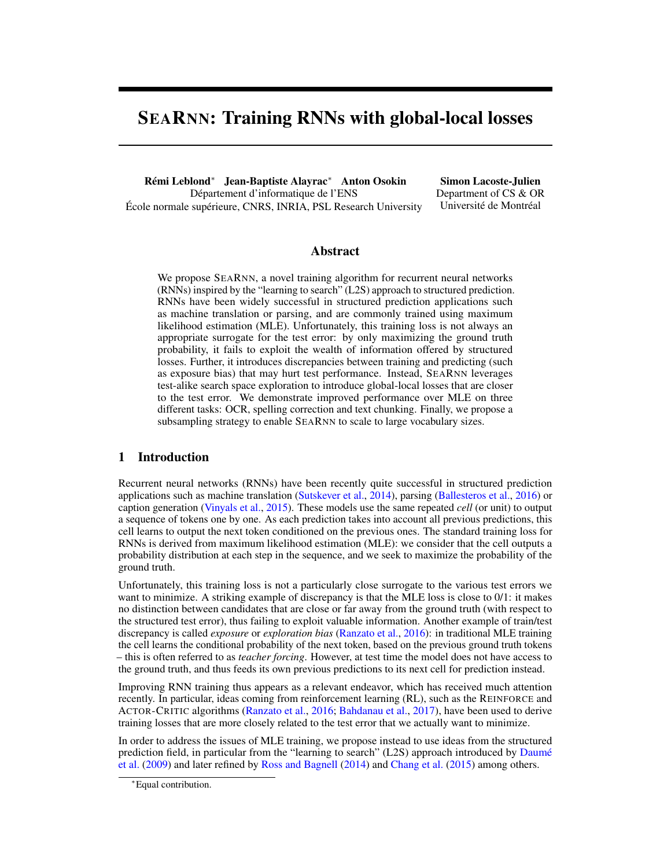# SEARNN: Training RNNs with global-local losses

Rémi Leblond<sup>∗</sup> Jean-Baptiste Alayrac<sup>∗</sup> Anton Osokin Département d'informatique de l'ENS École normale supérieure, CNRS, INRIA, PSL Research University

Simon Lacoste-Julien Department of CS & OR Université de Montréal

### Abstract

We propose SEARNN, a novel training algorithm for recurrent neural networks (RNNs) inspired by the "learning to search" (L2S) approach to structured prediction. RNNs have been widely successful in structured prediction applications such as machine translation or parsing, and are commonly trained using maximum likelihood estimation (MLE). Unfortunately, this training loss is not always an appropriate surrogate for the test error: by only maximizing the ground truth probability, it fails to exploit the wealth of information offered by structured losses. Further, it introduces discrepancies between training and predicting (such as exposure bias) that may hurt test performance. Instead, SEARNN leverages test-alike search space exploration to introduce global-local losses that are closer to the test error. We demonstrate improved performance over MLE on three different tasks: OCR, spelling correction and text chunking. Finally, we propose a subsampling strategy to enable SEARNN to scale to large vocabulary sizes.

## 1 Introduction

Recurrent neural networks (RNNs) have been recently quite successful in structured prediction applications such as machine translation [\(Sutskever et al.,](#page-8-0) [2014\)](#page-8-0), parsing [\(Ballesteros et al.,](#page-8-0) [2016\)](#page-8-0) or caption generation [\(Vinyals et al.,](#page-9-0) [2015\)](#page-9-0). These models use the same repeated *cell* (or unit) to output a sequence of tokens one by one. As each prediction takes into account all previous predictions, this cell learns to output the next token conditioned on the previous ones. The standard training loss for RNNs is derived from maximum likelihood estimation (MLE): we consider that the cell outputs a probability distribution at each step in the sequence, and we seek to maximize the probability of the ground truth.

Unfortunately, this training loss is not a particularly close surrogate to the various test errors we want to minimize. A striking example of discrepancy is that the MLE loss is close to 0/1: it makes no distinction between candidates that are close or far away from the ground truth (with respect to the structured test error), thus failing to exploit valuable information. Another example of train/test discrepancy is called *exposure* or *exploration bias* [\(Ranzato et al.,](#page-8-0) [2016\)](#page-8-0): in traditional MLE training the cell learns the conditional probability of the next token, based on the previous ground truth tokens – this is often referred to as *teacher forcing*. However, at test time the model does not have access to the ground truth, and thus feeds its own previous predictions to its next cell for prediction instead.

Improving RNN training thus appears as a relevant endeavor, which has received much attention recently. In particular, ideas coming from reinforcement learning (RL), such as the REINFORCE and ACTOR-CRITIC algorithms [\(Ranzato et al.,](#page-8-0) [2016;](#page-8-0) [Bahdanau et al.,](#page-8-0) [2017\)](#page-8-0), have been used to derive training losses that are more closely related to the test error that we actually want to minimize.

In order to address the issues of MLE training, we propose instead to use ideas from the structured prediction field, in particular from the "learning to search" (L2S) approach introduced by [Daumé](#page-8-0) [et al.](#page-8-0) [\(2009\)](#page-8-0) and later refined by [Ross and Bagnell](#page-8-0) [\(2014\)](#page-8-0) and [Chang et al.](#page-8-0) [\(2015\)](#page-8-0) among others.

<sup>∗</sup>Equal contribution.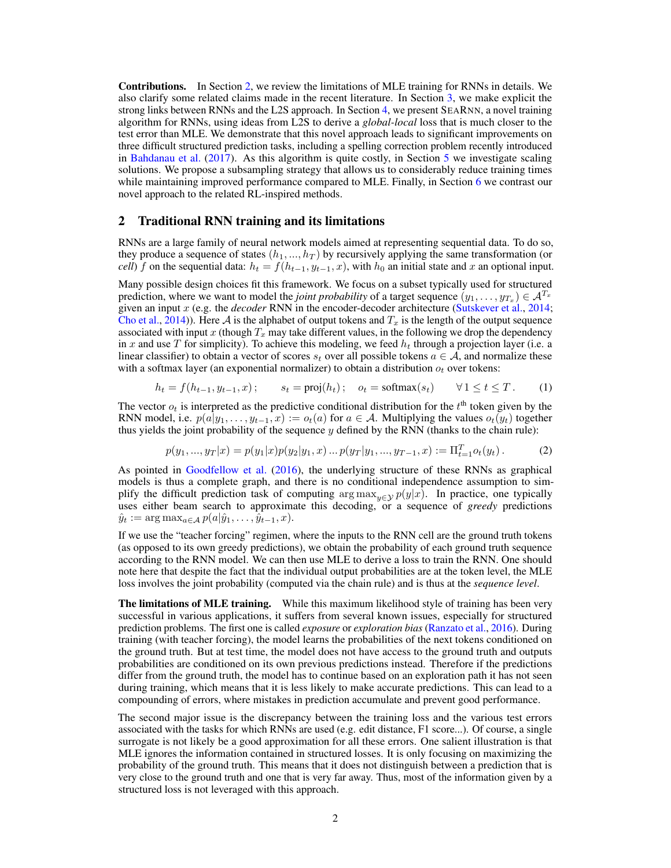<span id="page-1-0"></span>Contributions. In Section 2, we review the limitations of MLE training for RNNs in details. We also clarify some related claims made in the recent literature. In Section [3,](#page-2-0) we make explicit the strong links between RNNs and the L2S approach. In Section [4,](#page-3-0) we present SEARNN, a novel training algorithm for RNNs, using ideas from L2S to derive a *global-local* loss that is much closer to the test error than MLE. We demonstrate that this novel approach leads to significant improvements on three difficult structured prediction tasks, including a spelling correction problem recently introduced in [Bahdanau et al.](#page-8-0) [\(2017\)](#page-8-0). As this algorithm is quite costly, in Section [5](#page-6-0) we investigate scaling solutions. We propose a subsampling strategy that allows us to considerably reduce training times while maintaining improved performance compared to MLE. Finally, in Section [6](#page-7-0) we contrast our novel approach to the related RL-inspired methods.

#### 2 Traditional RNN training and its limitations

RNNs are a large family of neural network models aimed at representing sequential data. To do so, they produce a sequence of states  $(h_1, ..., h_T)$  by recursively applying the same transformation (or *cell*) f on the sequential data:  $h_t = f(h_{t-1}, y_{t-1}, x)$ , with  $h_0$  an initial state and x an optional input.

Many possible design choices fit this framework. We focus on a subset typically used for structured prediction, where we want to model the *joint probability* of a target sequence  $(y_1, \ldots, y_{T_x}) \in A^{T_x}$ given an input  $x$  (e.g. the *decoder* RNN in the encoder-decoder architecture [\(Sutskever et al.,](#page-8-0) [2014;](#page-8-0) [Cho et al.,](#page-8-0) [2014\)](#page-8-0)). Here A is the alphabet of output tokens and  $T_x$  is the length of the output sequence associated with input x (though  $T_x$  may take different values, in the following we drop the dependency in x and use T for simplicity). To achieve this modeling, we feed  $h_t$  through a projection layer (i.e. a linear classifier) to obtain a vector of scores  $s_t$  over all possible tokens  $a \in A$ , and normalize these with a softmax layer (an exponential normalizer) to obtain a distribution  $o_t$  over tokens:

$$
h_t = f(h_{t-1}, y_{t-1}, x); \qquad s_t = \text{proj}(h_t); \quad o_t = \text{softmax}(s_t) \qquad \forall 1 \le t \le T. \tag{1}
$$

The vector  $o_t$  is interpreted as the predictive conditional distribution for the  $t<sup>th</sup>$  token given by the RNN model, i.e.  $p(a|y_1, \ldots, y_{t-1}, x) := o_t(a)$  for  $a \in \mathcal{A}$ . Multiplying the values  $o_t(y_t)$  together thus yields the joint probability of the sequence  $y$  defined by the RNN (thanks to the chain rule):

$$
p(y_1, ..., y_T|x) = p(y_1|x)p(y_2|y_1, x) ... p(y_T|y_1, ..., y_{T-1}, x) := \Pi_{t=1}^T o_t(y_t).
$$
 (2)

As pointed in [Goodfellow et al.](#page-8-0) [\(2016\)](#page-8-0), the underlying structure of these RNNs as graphical models is thus a complete graph, and there is no conditional independence assumption to simplify the difficult prediction task of computing  $\arg \max_{y \in \mathcal{Y}} p(y|x)$ . In practice, one typically uses either beam search to approximate this decoding, or a sequence of *greedy* predictions  $\hat{y}_t := \arg \max_{a \in \mathcal{A}} p(a|\hat{y}_1, \dots, \hat{y}_{t-1}, x).$ 

If we use the "teacher forcing" regimen, where the inputs to the RNN cell are the ground truth tokens (as opposed to its own greedy predictions), we obtain the probability of each ground truth sequence according to the RNN model. We can then use MLE to derive a loss to train the RNN. One should note here that despite the fact that the individual output probabilities are at the token level, the MLE loss involves the joint probability (computed via the chain rule) and is thus at the *sequence level*.

**The limitations of MLE training.** While this maximum likelihood style of training has been very successful in various applications, it suffers from several known issues, especially for structured prediction problems. The first one is called *exposure* or *exploration bias* [\(Ranzato et al.,](#page-8-0) [2016\)](#page-8-0). During training (with teacher forcing), the model learns the probabilities of the next tokens conditioned on the ground truth. But at test time, the model does not have access to the ground truth and outputs probabilities are conditioned on its own previous predictions instead. Therefore if the predictions differ from the ground truth, the model has to continue based on an exploration path it has not seen during training, which means that it is less likely to make accurate predictions. This can lead to a compounding of errors, where mistakes in prediction accumulate and prevent good performance.

The second major issue is the discrepancy between the training loss and the various test errors associated with the tasks for which RNNs are used (e.g. edit distance, F1 score...). Of course, a single surrogate is not likely be a good approximation for all these errors. One salient illustration is that MLE ignores the information contained in structured losses. It is only focusing on maximizing the probability of the ground truth. This means that it does not distinguish between a prediction that is very close to the ground truth and one that is very far away. Thus, most of the information given by a structured loss is not leveraged with this approach.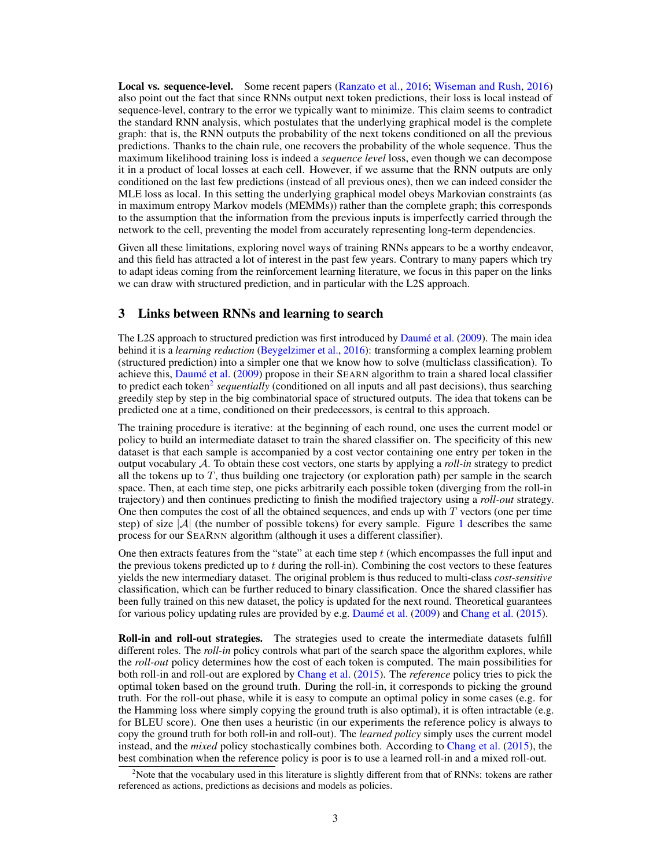<span id="page-2-0"></span>Local vs. sequence-level. Some recent papers [\(Ranzato et al.,](#page-8-0) [2016;](#page-8-0) [Wiseman and Rush,](#page-9-0) [2016\)](#page-9-0) also point out the fact that since RNNs output next token predictions, their loss is local instead of sequence-level, contrary to the error we typically want to minimize. This claim seems to contradict the standard RNN analysis, which postulates that the underlying graphical model is the complete graph: that is, the RNN outputs the probability of the next tokens conditioned on all the previous predictions. Thanks to the chain rule, one recovers the probability of the whole sequence. Thus the maximum likelihood training loss is indeed a *sequence level* loss, even though we can decompose it in a product of local losses at each cell. However, if we assume that the RNN outputs are only conditioned on the last few predictions (instead of all previous ones), then we can indeed consider the MLE loss as local. In this setting the underlying graphical model obeys Markovian constraints (as in maximum entropy Markov models (MEMMs)) rather than the complete graph; this corresponds to the assumption that the information from the previous inputs is imperfectly carried through the network to the cell, preventing the model from accurately representing long-term dependencies.

Given all these limitations, exploring novel ways of training RNNs appears to be a worthy endeavor, and this field has attracted a lot of interest in the past few years. Contrary to many papers which try to adapt ideas coming from the reinforcement learning literature, we focus in this paper on the links we can draw with structured prediction, and in particular with the L2S approach.

## 3 Links between RNNs and learning to search

The L2S approach to structured prediction was first introduced by [Daumé et al.](#page-8-0) [\(2009\)](#page-8-0). The main idea behind it is a *learning reduction* [\(Beygelzimer et al.,](#page-8-0) [2016\)](#page-8-0): transforming a complex learning problem (structured prediction) into a simpler one that we know how to solve (multiclass classification). To achieve this, [Daumé et al.](#page-8-0) [\(2009\)](#page-8-0) propose in their SEARN algorithm to train a shared local classifier to predict each token<sup>2</sup> sequentially (conditioned on all inputs and all past decisions), thus searching greedily step by step in the big combinatorial space of structured outputs. The idea that tokens can be predicted one at a time, conditioned on their predecessors, is central to this approach.

The training procedure is iterative: at the beginning of each round, one uses the current model or policy to build an intermediate dataset to train the shared classifier on. The specificity of this new dataset is that each sample is accompanied by a cost vector containing one entry per token in the output vocabulary A. To obtain these cost vectors, one starts by applying a *roll-in* strategy to predict all the tokens up to  $T$ , thus building one trajectory (or exploration path) per sample in the search space. Then, at each time step, one picks arbitrarily each possible token (diverging from the roll-in trajectory) and then continues predicting to finish the modified trajectory using a *roll-out* strategy. One then computes the cost of all the obtained sequences, and ends up with  $T$  vectors (one per time step) of size  $|\mathcal{A}|$  (the number of possible tokens) for every sample. Figure [1](#page-3-0) describes the same process for our SEARNN algorithm (although it uses a different classifier).

One then extracts features from the "state" at each time step  $t$  (which encompasses the full input and the previous tokens predicted up to t during the roll-in). Combining the cost vectors to these features yields the new intermediary dataset. The original problem is thus reduced to multi-class *cost-sensitive* classification, which can be further reduced to binary classification. Once the shared classifier has been fully trained on this new dataset, the policy is updated for the next round. Theoretical guarantees for various policy updating rules are provided by e.g. [Daumé et al.](#page-8-0) [\(2009\)](#page-8-0) and [Chang et al.](#page-8-0) [\(2015\)](#page-8-0).

Roll-in and roll-out strategies. The strategies used to create the intermediate datasets fulfill different roles. The *roll-in* policy controls what part of the search space the algorithm explores, while the *roll-out* policy determines how the cost of each token is computed. The main possibilities for both roll-in and roll-out are explored by [Chang et al.](#page-8-0) [\(2015\)](#page-8-0). The *reference* policy tries to pick the optimal token based on the ground truth. During the roll-in, it corresponds to picking the ground truth. For the roll-out phase, while it is easy to compute an optimal policy in some cases (e.g. for the Hamming loss where simply copying the ground truth is also optimal), it is often intractable (e.g. for BLEU score). One then uses a heuristic (in our experiments the reference policy is always to copy the ground truth for both roll-in and roll-out). The *learned policy* simply uses the current model instead, and the *mixed* policy stochastically combines both. According to [Chang et al.](#page-8-0) [\(2015\)](#page-8-0), the best combination when the reference policy is poor is to use a learned roll-in and a mixed roll-out.

<sup>&</sup>lt;sup>2</sup>Note that the vocabulary used in this literature is slightly different from that of RNNs: tokens are rather referenced as actions, predictions as decisions and models as policies.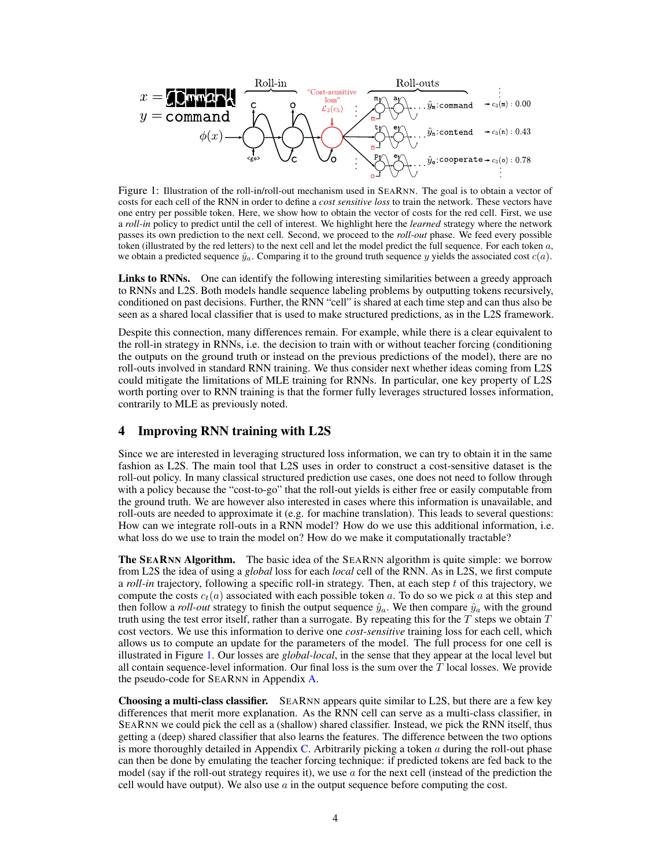<span id="page-3-0"></span>

Figure 1: Illustration of the roll-in/roll-out mechanism used in SEARNN. The goal is to obtain a vector of costs for each cell of the RNN in order to define a *cost sensitive loss* to train the network. These vectors have one entry per possible token. Here, we show how to obtain the vector of costs for the red cell. First, we use a *roll-in* policy to predict until the cell of interest. We highlight here the *learned* strategy where the network passes its own prediction to the next cell. Second, we proceed to the *roll-out* phase. We feed every possible token (illustrated by the red letters) to the next cell and let the model predict the full sequence. For each token  $a$ , we obtain a predicted sequence  $\hat{y}_a$ . Comparing it to the ground truth sequence y yields the associated cost  $c(a)$ .

Links to RNNs. One can identify the following interesting similarities between a greedy approach to RNNs and L2S. Both models handle sequence labeling problems by outputting tokens recursively, conditioned on past decisions. Further, the RNN "cell" is shared at each time step and can thus also be seen as a shared local classifier that is used to make structured predictions, as in the L2S framework.

Despite this connection, many differences remain. For example, while there is a clear equivalent to the roll-in strategy in RNNs, i.e. the decision to train with or without teacher forcing (conditioning the outputs on the ground truth or instead on the previous predictions of the model), there are no roll-outs involved in standard RNN training. We thus consider next whether ideas coming from L2S could mitigate the limitations of MLE training for RNNs. In particular, one key property of L2S worth porting over to RNN training is that the former fully leverages structured losses information, contrarily to MLE as previously noted.

## 4 Improving RNN training with L2S

Since we are interested in leveraging structured loss information, we can try to obtain it in the same fashion as L2S. The main tool that L2S uses in order to construct a cost-sensitive dataset is the roll-out policy. In many classical structured prediction use cases, one does not need to follow through with a policy because the "cost-to-go" that the roll-out yields is either free or easily computable from the ground truth. We are however also interested in cases where this information is unavailable, and roll-outs are needed to approximate it (e.g. for machine translation). This leads to several questions: How can we integrate roll-outs in a RNN model? How do we use this additional information, i.e. what loss do we use to train the model on? How do we make it computationally tractable?

The SEARNN Algorithm. The basic idea of the SEARNN algorithm is quite simple: we borrow from L2S the idea of using a *global* loss for each *local* cell of the RNN. As in L2S, we first compute a *roll-in* trajectory, following a specific roll-in strategy. Then, at each step t of this trajectory, we compute the costs  $c_t(a)$  associated with each possible token a. To do so we pick a at this step and then follow a *roll-out* strategy to finish the output sequence  $\hat{y}_a$ . We then compare  $\hat{y}_a$  with the ground truth using the test error itself, rather than a surrogate. By repeating this for the  $T$  steps we obtain  $T$ cost vectors. We use this information to derive one *cost-sensitive* training loss for each cell, which allows us to compute an update for the parameters of the model. The full process for one cell is illustrated in Figure 1. Our losses are *global-local*, in the sense that they appear at the local level but all contain sequence-level information. Our final loss is the sum over the  $T$  local losses. We provide the pseudo-code for SEARNN in Appendix [A.](#page-10-0)

Choosing a multi-class classifier. SEARNN appears quite similar to L2S, but there are a few key differences that merit more explanation. As the RNN cell can serve as a multi-class classifier, in SEARNN we could pick the cell as a (shallow) shared classifier. Instead, we pick the RNN itself, thus getting a (deep) shared classifier that also learns the features. The difference between the two options is more thoroughly detailed in Appendix [C.](#page-10-0) Arbitrarily picking a token a during the roll-out phase can then be done by emulating the teacher forcing technique: if predicted tokens are fed back to the model (say if the roll-out strategy requires it), we use  $\alpha$  for the next cell (instead of the prediction the cell would have output). We also use  $\alpha$  in the output sequence before computing the cost.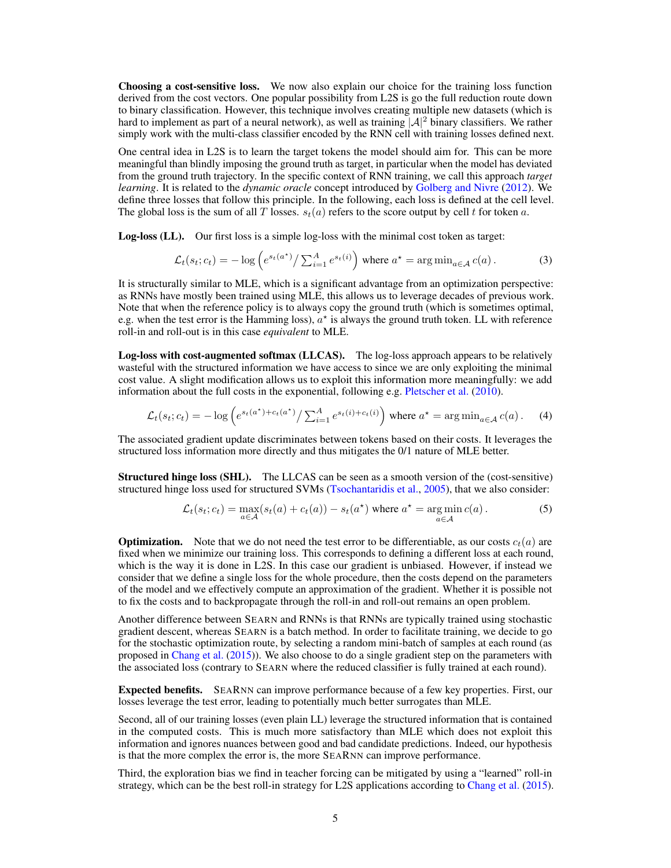Choosing a cost-sensitive loss. We now also explain our choice for the training loss function derived from the cost vectors. One popular possibility from L2S is go the full reduction route down to binary classification. However, this technique involves creating multiple new datasets (which is hard to implement as part of a neural network), as well as training  $|A|^2$  binary classifiers. We rather simply work with the multi-class classifier encoded by the RNN cell with training losses defined next.

One central idea in L2S is to learn the target tokens the model should aim for. This can be more meaningful than blindly imposing the ground truth as target, in particular when the model has deviated from the ground truth trajectory. In the specific context of RNN training, we call this approach *target learning*. It is related to the *dynamic oracle* concept introduced by [Golberg and Nivre](#page-8-0) [\(2012\)](#page-8-0). We define three losses that follow this principle. In the following, each loss is defined at the cell level. The global loss is the sum of all T losses.  $s_t(a)$  refers to the score output by cell t for token a.

Log-loss (LL). Our first loss is a simple log-loss with the minimal cost token as target:

$$
\mathcal{L}_t(s_t; c_t) = -\log\left(e^{s_t(a^*)}/\sum_{i=1}^A e^{s_t(i)}\right)
$$
 where  $a^* = \arg\min_{a \in \mathcal{A}} c(a)$ . (3)

It is structurally similar to MLE, which is a significant advantage from an optimization perspective: as RNNs have mostly been trained using MLE, this allows us to leverage decades of previous work. Note that when the reference policy is to always copy the ground truth (which is sometimes optimal, e.g. when the test error is the Hamming loss),  $a^*$  is always the ground truth token. LL with reference roll-in and roll-out is in this case *equivalent* to MLE.

Log-loss with cost-augmented softmax (LLCAS). The log-loss approach appears to be relatively wasteful with the structured information we have access to since we are only exploiting the minimal cost value. A slight modification allows us to exploit this information more meaningfully: we add information about the full costs in the exponential, following e.g. [Pletscher et al.](#page-8-0) [\(2010\)](#page-8-0).

$$
\mathcal{L}_t(s_t; c_t) = -\log \left( e^{s_t(a^\star) + c_t(a^\star)} / \sum_{i=1}^A e^{s_t(i) + c_t(i)} \right) \text{ where } a^\star = \arg\min_{a \in \mathcal{A}} c(a). \tag{4}
$$

The associated gradient update discriminates between tokens based on their costs. It leverages the structured loss information more directly and thus mitigates the 0/1 nature of MLE better.

**Structured hinge loss (SHL).** The LLCAS can be seen as a smooth version of the (cost-sensitive) structured hinge loss used for structured SVMs [\(Tsochantaridis et al.,](#page-9-0) [2005\)](#page-9-0), that we also consider:

$$
\mathcal{L}_t(s_t; c_t) = \max_{a \in \mathcal{A}} (s_t(a) + c_t(a)) - s_t(a^*) \text{ where } a^* = \operatorname*{arg\,min}_{a \in \mathcal{A}} c(a).
$$
 (5)

**Optimization.** Note that we do not need the test error to be differentiable, as our costs  $c_t(a)$  are fixed when we minimize our training loss. This corresponds to defining a different loss at each round, which is the way it is done in L2S. In this case our gradient is unbiased. However, if instead we consider that we define a single loss for the whole procedure, then the costs depend on the parameters of the model and we effectively compute an approximation of the gradient. Whether it is possible not to fix the costs and to backpropagate through the roll-in and roll-out remains an open problem.

Another difference between SEARN and RNNs is that RNNs are typically trained using stochastic gradient descent, whereas SEARN is a batch method. In order to facilitate training, we decide to go for the stochastic optimization route, by selecting a random mini-batch of samples at each round (as proposed in [Chang et al.](#page-8-0) [\(2015\)](#page-8-0)). We also choose to do a single gradient step on the parameters with the associated loss (contrary to SEARN where the reduced classifier is fully trained at each round).

Expected benefits. SEARNN can improve performance because of a few key properties. First, our losses leverage the test error, leading to potentially much better surrogates than MLE.

Second, all of our training losses (even plain LL) leverage the structured information that is contained in the computed costs. This is much more satisfactory than MLE which does not exploit this information and ignores nuances between good and bad candidate predictions. Indeed, our hypothesis is that the more complex the error is, the more SEARNN can improve performance.

Third, the exploration bias we find in teacher forcing can be mitigated by using a "learned" roll-in strategy, which can be the best roll-in strategy for L2S applications according to [Chang et al.](#page-8-0) [\(2015\)](#page-8-0).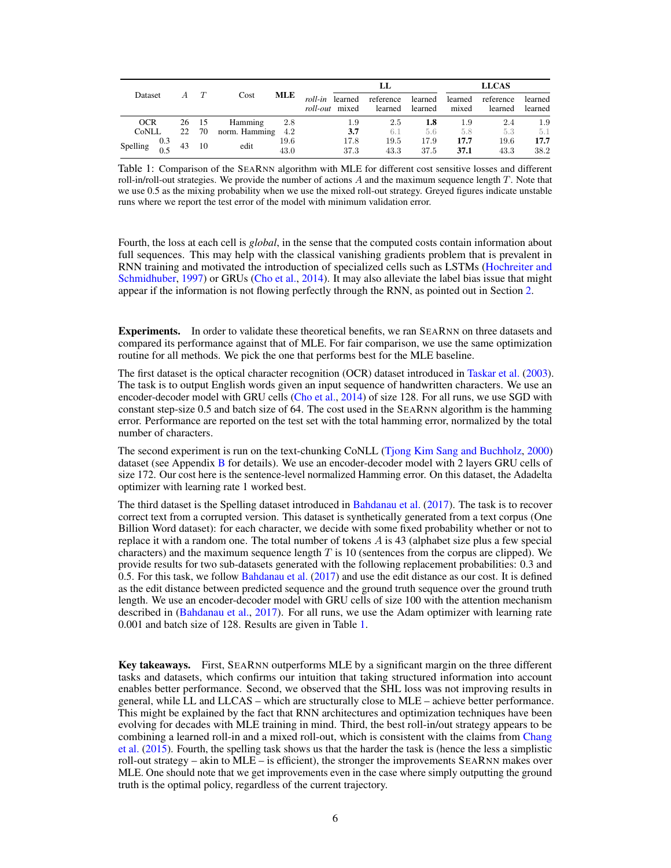|                                  | $A$ $T$ | Cost              |              | LL                                       |                      |                    | <b>LLCAS</b>     |                      |                    |  |
|----------------------------------|---------|-------------------|--------------|------------------------------------------|----------------------|--------------------|------------------|----------------------|--------------------|--|
| Dataset                          |         |                   | MLE          | roll-in learned<br><i>roll-out</i> mixed | reference<br>learned | learned<br>learned | learned<br>mixed | reference<br>learned | learned<br>learned |  |
| <b>OCR</b>                       | 26 15   | Hamming           | 2.8          | 1.9                                      | 2.5                  | 1.8                | 1.9              | 2.4                  | 1.9                |  |
| CoNLL                            | 22 70   | norm. Hamming 4.2 |              | 3.7                                      | 6.1                  | 5.6                | 5.8              | 5.3                  | 5.1                |  |
| Spelling $\frac{0.3}{0.5}$ 43 10 |         | edit              | 19.6<br>43.0 | 17.8<br>37.3                             | 19.5<br>43.3         | 17.9<br>37.5       | 17.7<br>37.1     | 19.6<br>43.3         | 17.7<br>38.2       |  |

Table 1: Comparison of the SEARNN algorithm with MLE for different cost sensitive losses and different roll-in/roll-out strategies. We provide the number of actions  $A$  and the maximum sequence length  $T$ . Note that we use 0.5 as the mixing probability when we use the mixed roll-out strategy. Greyed figures indicate unstable runs where we report the test error of the model with minimum validation error.

Fourth, the loss at each cell is *global*, in the sense that the computed costs contain information about full sequences. This may help with the classical vanishing gradients problem that is prevalent in RNN training and motivated the introduction of specialized cells such as LSTMs [\(Hochreiter and](#page-8-0) [Schmidhuber,](#page-8-0) [1997\)](#page-8-0) or GRUs [\(Cho et al.,](#page-8-0) [2014\)](#page-8-0). It may also alleviate the label bias issue that might appear if the information is not flowing perfectly through the RNN, as pointed out in Section [2.](#page-1-0)

Experiments. In order to validate these theoretical benefits, we ran SEARNN on three datasets and compared its performance against that of MLE. For fair comparison, we use the same optimization routine for all methods. We pick the one that performs best for the MLE baseline.

The first dataset is the optical character recognition (OCR) dataset introduced in [Taskar et al.](#page-8-0) [\(2003\)](#page-8-0). The task is to output English words given an input sequence of handwritten characters. We use an encoder-decoder model with GRU cells [\(Cho et al.,](#page-8-0) [2014\)](#page-8-0) of size 128. For all runs, we use SGD with constant step-size 0.5 and batch size of 64. The cost used in the SEARNN algorithm is the hamming error. Performance are reported on the test set with the total hamming error, normalized by the total number of characters.

The second experiment is run on the text-chunking CoNLL [\(Tjong Kim Sang and Buchholz,](#page-9-0) [2000\)](#page-9-0) dataset (see Appendix [B](#page-10-0) for details). We use an encoder-decoder model with 2 layers GRU cells of size 172. Our cost here is the sentence-level normalized Hamming error. On this dataset, the Adadelta optimizer with learning rate 1 worked best.

The third dataset is the Spelling dataset introduced in [Bahdanau et al.](#page-8-0) [\(2017\)](#page-8-0). The task is to recover correct text from a corrupted version. This dataset is synthetically generated from a text corpus (One Billion Word dataset): for each character, we decide with some fixed probability whether or not to replace it with a random one. The total number of tokens  $\vec{A}$  is 43 (alphabet size plus a few special characters) and the maximum sequence length  $T$  is 10 (sentences from the corpus are clipped). We provide results for two sub-datasets generated with the following replacement probabilities: 0.3 and 0.5. For this task, we follow [Bahdanau et al.](#page-8-0) [\(2017\)](#page-8-0) and use the edit distance as our cost. It is defined as the edit distance between predicted sequence and the ground truth sequence over the ground truth length. We use an encoder-decoder model with GRU cells of size 100 with the attention mechanism described in [\(Bahdanau et al.,](#page-8-0) [2017\)](#page-8-0). For all runs, we use the Adam optimizer with learning rate 0.001 and batch size of 128. Results are given in Table 1.

Key takeaways. First, SEARNN outperforms MLE by a significant margin on the three different tasks and datasets, which confirms our intuition that taking structured information into account enables better performance. Second, we observed that the SHL loss was not improving results in general, while LL and LLCAS – which are structurally close to MLE – achieve better performance. This might be explained by the fact that RNN architectures and optimization techniques have been evolving for decades with MLE training in mind. Third, the best roll-in/out strategy appears to be combining a learned roll-in and a mixed roll-out, which is consistent with the claims from [Chang](#page-8-0) [et al.](#page-8-0) [\(2015\)](#page-8-0). Fourth, the spelling task shows us that the harder the task is (hence the less a simplistic roll-out strategy – akin to MLE – is efficient), the stronger the improvements SEARNN makes over MLE. One should note that we get improvements even in the case where simply outputting the ground truth is the optimal policy, regardless of the current trajectory.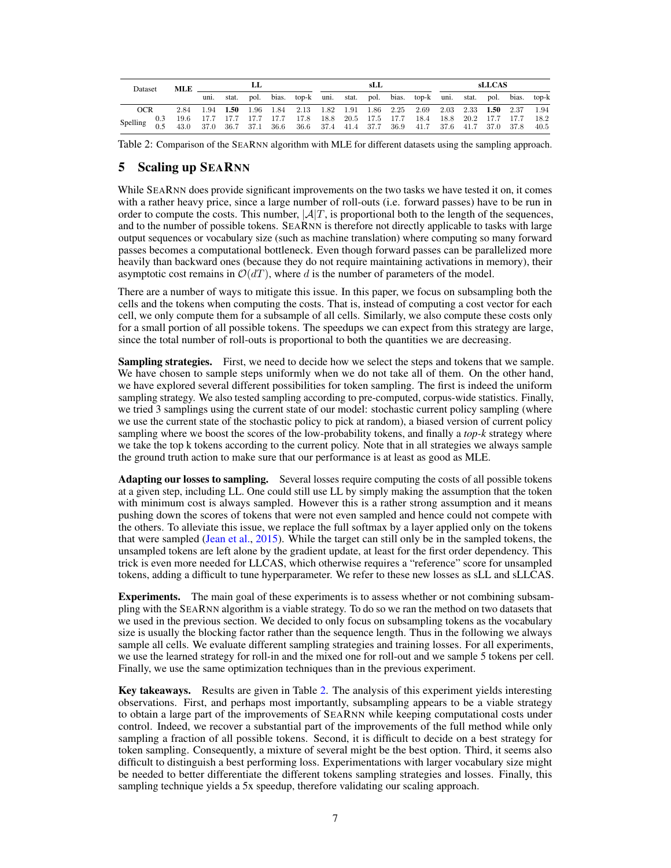<span id="page-6-0"></span>

| <b>Dataset</b> |     | MLE. | LL          |       |      |       |                                                                                                                                                                                            | sLL |  |  |  |  | <b>sLLCAS</b> |  |  |  |      |
|----------------|-----|------|-------------|-------|------|-------|--------------------------------------------------------------------------------------------------------------------------------------------------------------------------------------------|-----|--|--|--|--|---------------|--|--|--|------|
|                |     |      | uni.        | stat. | pol. | bias. | top-k uni. stat. pol. bias. top-k uni. stat. pol. bias. top-k                                                                                                                              |     |  |  |  |  |               |  |  |  |      |
| OCR            |     | 2.84 | $1.94$ 1.50 |       |      |       | 1.96 1.84 2.13 1.82 1.91 1.86 2.25 2.69 2.03 2.33 1.50 2.37 1.94                                                                                                                           |     |  |  |  |  |               |  |  |  |      |
|                | 0.3 |      |             |       |      |       | $19.6 \qquad 17.7 \qquad 17.7 \qquad 17.7 \qquad 17.7 \qquad 17.8 \qquad 18.8 \qquad 20.5 \qquad 17.5 \qquad 17.7 \qquad 18.4 \qquad 18.8 \qquad 20.2 \qquad 17.7 \qquad 17.7 \qquad 18.2$ |     |  |  |  |  |               |  |  |  |      |
| Spelling       |     | 43.0 |             |       |      |       | 37.0 36.7 37.1 36.6 36.6 37.4 41.4 37.7 36.9 41.7 37.6 41.7 37.0 37.8                                                                                                                      |     |  |  |  |  |               |  |  |  | 40.5 |

Table 2: Comparison of the SEARNN algorithm with MLE for different datasets using the sampling approach.

## 5 Scaling up SEARNN

While SEARNN does provide significant improvements on the two tasks we have tested it on, it comes with a rather heavy price, since a large number of roll-outs (i.e. forward passes) have to be run in order to compute the costs. This number,  $|\mathcal{A}|T$ , is proportional both to the length of the sequences, and to the number of possible tokens. SEARNN is therefore not directly applicable to tasks with large output sequences or vocabulary size (such as machine translation) where computing so many forward passes becomes a computational bottleneck. Even though forward passes can be parallelized more heavily than backward ones (because they do not require maintaining activations in memory), their asymptotic cost remains in  $\mathcal{O}(dT)$ , where d is the number of parameters of the model.

There are a number of ways to mitigate this issue. In this paper, we focus on subsampling both the cells and the tokens when computing the costs. That is, instead of computing a cost vector for each cell, we only compute them for a subsample of all cells. Similarly, we also compute these costs only for a small portion of all possible tokens. The speedups we can expect from this strategy are large, since the total number of roll-outs is proportional to both the quantities we are decreasing.

**Sampling strategies.** First, we need to decide how we select the steps and tokens that we sample. We have chosen to sample steps uniformly when we do not take all of them. On the other hand, we have explored several different possibilities for token sampling. The first is indeed the uniform sampling strategy. We also tested sampling according to pre-computed, corpus-wide statistics. Finally, we tried 3 samplings using the current state of our model: stochastic current policy sampling (where we use the current state of the stochastic policy to pick at random), a biased version of current policy sampling where we boost the scores of the low-probability tokens, and finally a *top-k* strategy where we take the top k tokens according to the current policy. Note that in all strategies we always sample the ground truth action to make sure that our performance is at least as good as MLE.

Adapting our losses to sampling. Several losses require computing the costs of all possible tokens at a given step, including LL. One could still use LL by simply making the assumption that the token with minimum cost is always sampled. However this is a rather strong assumption and it means pushing down the scores of tokens that were not even sampled and hence could not compete with the others. To alleviate this issue, we replace the full softmax by a layer applied only on the tokens that were sampled [\(Jean et al.,](#page-8-0) [2015\)](#page-8-0). While the target can still only be in the sampled tokens, the unsampled tokens are left alone by the gradient update, at least for the first order dependency. This trick is even more needed for LLCAS, which otherwise requires a "reference" score for unsampled tokens, adding a difficult to tune hyperparameter. We refer to these new losses as sLL and sLLCAS.

Experiments. The main goal of these experiments is to assess whether or not combining subsampling with the SEARNN algorithm is a viable strategy. To do so we ran the method on two datasets that we used in the previous section. We decided to only focus on subsampling tokens as the vocabulary size is usually the blocking factor rather than the sequence length. Thus in the following we always sample all cells. We evaluate different sampling strategies and training losses. For all experiments, we use the learned strategy for roll-in and the mixed one for roll-out and we sample 5 tokens per cell. Finally, we use the same optimization techniques than in the previous experiment.

Key takeaways. Results are given in Table 2. The analysis of this experiment yields interesting observations. First, and perhaps most importantly, subsampling appears to be a viable strategy to obtain a large part of the improvements of SEARNN while keeping computational costs under control. Indeed, we recover a substantial part of the improvements of the full method while only sampling a fraction of all possible tokens. Second, it is difficult to decide on a best strategy for token sampling. Consequently, a mixture of several might be the best option. Third, it seems also difficult to distinguish a best performing loss. Experimentations with larger vocabulary size might be needed to better differentiate the different tokens sampling strategies and losses. Finally, this sampling technique yields a 5x speedup, therefore validating our scaling approach.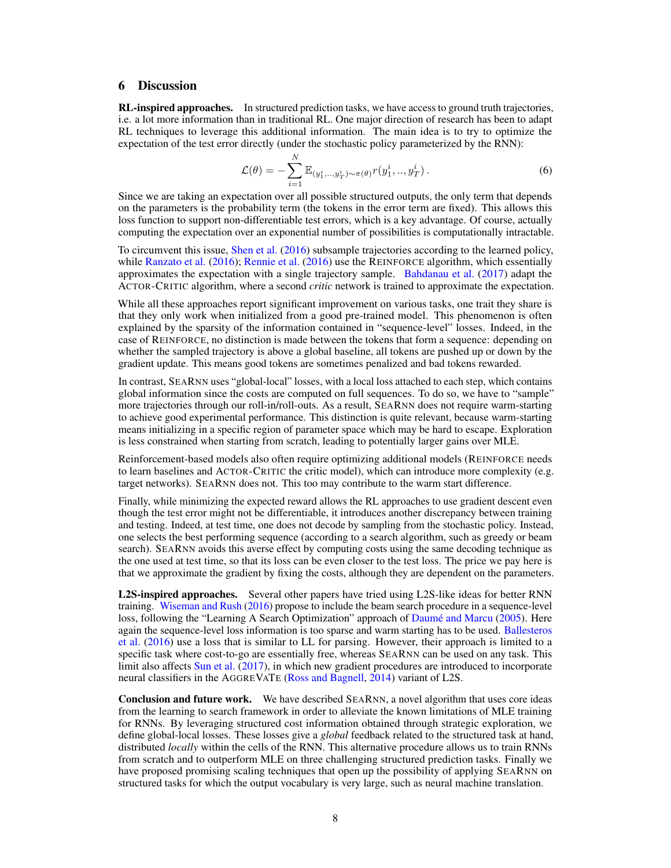#### <span id="page-7-0"></span>6 Discussion

**RL-inspired approaches.** In structured prediction tasks, we have access to ground truth trajectories, i.e. a lot more information than in traditional RL. One major direction of research has been to adapt RL techniques to leverage this additional information. The main idea is to try to optimize the expectation of the test error directly (under the stochastic policy parameterized by the RNN):

$$
\mathcal{L}(\theta) = -\sum_{i=1}^{N} \mathbb{E}_{(y_1^i, \dots, y_T^i) \sim \pi(\theta)} r(y_1^i, \dots, y_T^i).
$$
 (6)

Since we are taking an expectation over all possible structured outputs, the only term that depends on the parameters is the probability term (the tokens in the error term are fixed). This allows this loss function to support non-differentiable test errors, which is a key advantage. Of course, actually computing the expectation over an exponential number of possibilities is computationally intractable.

To circumvent this issue, [Shen et al.](#page-8-0) [\(2016\)](#page-8-0) subsample trajectories according to the learned policy, while [Ranzato et al.](#page-8-0) [\(2016\)](#page-8-0); [Rennie et al.](#page-8-0) (2016) use the REINFORCE algorithm, which essentially approximates the expectation with a single trajectory sample. [Bahdanau et al.](#page-8-0) [\(2017\)](#page-8-0) adapt the ACTOR-CRITIC algorithm, where a second *critic* network is trained to approximate the expectation.

While all these approaches report significant improvement on various tasks, one trait they share is that they only work when initialized from a good pre-trained model. This phenomenon is often explained by the sparsity of the information contained in "sequence-level" losses. Indeed, in the case of REINFORCE, no distinction is made between the tokens that form a sequence: depending on whether the sampled trajectory is above a global baseline, all tokens are pushed up or down by the gradient update. This means good tokens are sometimes penalized and bad tokens rewarded.

In contrast, SEARNN uses "global-local" losses, with a local loss attached to each step, which contains global information since the costs are computed on full sequences. To do so, we have to "sample" more trajectories through our roll-in/roll-outs. As a result, SEARNN does not require warm-starting to achieve good experimental performance. This distinction is quite relevant, because warm-starting means initializing in a specific region of parameter space which may be hard to escape. Exploration is less constrained when starting from scratch, leading to potentially larger gains over MLE.

Reinforcement-based models also often require optimizing additional models (REINFORCE needs to learn baselines and ACTOR-CRITIC the critic model), which can introduce more complexity (e.g. target networks). SEARNN does not. This too may contribute to the warm start difference.

Finally, while minimizing the expected reward allows the RL approaches to use gradient descent even though the test error might not be differentiable, it introduces another discrepancy between training and testing. Indeed, at test time, one does not decode by sampling from the stochastic policy. Instead, one selects the best performing sequence (according to a search algorithm, such as greedy or beam search). SEARNN avoids this averse effect by computing costs using the same decoding technique as the one used at test time, so that its loss can be even closer to the test loss. The price we pay here is that we approximate the gradient by fixing the costs, although they are dependent on the parameters.

L2S-inspired approaches. Several other papers have tried using L2S-like ideas for better RNN training. [Wiseman and Rush](#page-9-0) [\(2016\)](#page-9-0) propose to include the beam search procedure in a sequence-level loss, following the "Learning A Search Optimization" approach of [Daumé and Marcu](#page-8-0) [\(2005\)](#page-8-0). Here again the sequence-level loss information is too sparse and warm starting has to be used. [Ballesteros](#page-8-0) [et al.](#page-8-0) [\(2016\)](#page-8-0) use a loss that is similar to LL for parsing. However, their approach is limited to a specific task where cost-to-go are essentially free, whereas SEARNN can be used on any task. This limit also affects [Sun et al.](#page-8-0) [\(2017\)](#page-8-0), in which new gradient procedures are introduced to incorporate neural classifiers in the AGGREVATE [\(Ross and Bagnell,](#page-8-0) [2014\)](#page-8-0) variant of L2S.

Conclusion and future work. We have described SEARNN, a novel algorithm that uses core ideas from the learning to search framework in order to alleviate the known limitations of MLE training for RNNs. By leveraging structured cost information obtained through strategic exploration, we define global-local losses. These losses give a *global* feedback related to the structured task at hand, distributed *locally* within the cells of the RNN. This alternative procedure allows us to train RNNs from scratch and to outperform MLE on three challenging structured prediction tasks. Finally we have proposed promising scaling techniques that open up the possibility of applying SEARNN on structured tasks for which the output vocabulary is very large, such as neural machine translation.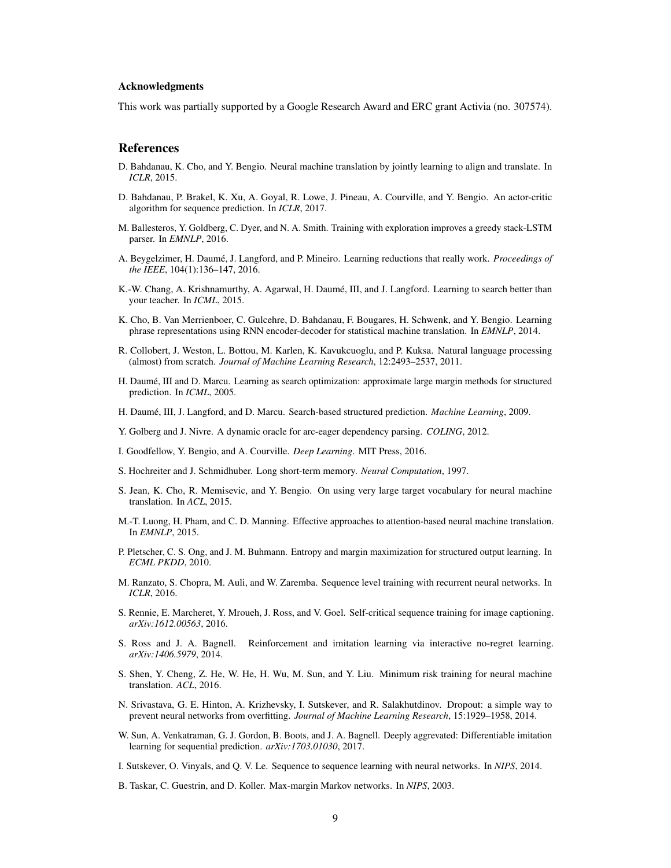#### <span id="page-8-0"></span>Acknowledgments

This work was partially supported by a Google Research Award and ERC grant Activia (no. 307574).

#### **References**

- D. Bahdanau, K. Cho, and Y. Bengio. Neural machine translation by jointly learning to align and translate. In *ICLR*, 2015.
- D. Bahdanau, P. Brakel, K. Xu, A. Goyal, R. Lowe, J. Pineau, A. Courville, and Y. Bengio. An actor-critic algorithm for sequence prediction. In *ICLR*, 2017.
- M. Ballesteros, Y. Goldberg, C. Dyer, and N. A. Smith. Training with exploration improves a greedy stack-LSTM parser. In *EMNLP*, 2016.
- A. Beygelzimer, H. Daumé, J. Langford, and P. Mineiro. Learning reductions that really work. *Proceedings of the IEEE*, 104(1):136–147, 2016.
- K.-W. Chang, A. Krishnamurthy, A. Agarwal, H. Daumé, III, and J. Langford. Learning to search better than your teacher. In *ICML*, 2015.
- K. Cho, B. Van Merrienboer, C. Gulcehre, D. Bahdanau, F. Bougares, H. Schwenk, and Y. Bengio. Learning phrase representations using RNN encoder-decoder for statistical machine translation. In *EMNLP*, 2014.
- R. Collobert, J. Weston, L. Bottou, M. Karlen, K. Kavukcuoglu, and P. Kuksa. Natural language processing (almost) from scratch. *Journal of Machine Learning Research*, 12:2493–2537, 2011.
- H. Daumé, III and D. Marcu. Learning as search optimization: approximate large margin methods for structured prediction. In *ICML*, 2005.
- H. Daumé, III, J. Langford, and D. Marcu. Search-based structured prediction. *Machine Learning*, 2009.
- Y. Golberg and J. Nivre. A dynamic oracle for arc-eager dependency parsing. *COLING*, 2012.
- I. Goodfellow, Y. Bengio, and A. Courville. *Deep Learning*. MIT Press, 2016.
- S. Hochreiter and J. Schmidhuber. Long short-term memory. *Neural Computation*, 1997.
- S. Jean, K. Cho, R. Memisevic, and Y. Bengio. On using very large target vocabulary for neural machine translation. In *ACL*, 2015.
- M.-T. Luong, H. Pham, and C. D. Manning. Effective approaches to attention-based neural machine translation. In *EMNLP*, 2015.
- P. Pletscher, C. S. Ong, and J. M. Buhmann. Entropy and margin maximization for structured output learning. In *ECML PKDD*, 2010.
- M. Ranzato, S. Chopra, M. Auli, and W. Zaremba. Sequence level training with recurrent neural networks. In *ICLR*, 2016.
- S. Rennie, E. Marcheret, Y. Mroueh, J. Ross, and V. Goel. Self-critical sequence training for image captioning. *arXiv:1612.00563*, 2016.
- S. Ross and J. A. Bagnell. Reinforcement and imitation learning via interactive no-regret learning. *arXiv:1406.5979*, 2014.
- S. Shen, Y. Cheng, Z. He, W. He, H. Wu, M. Sun, and Y. Liu. Minimum risk training for neural machine translation. *ACL*, 2016.
- N. Srivastava, G. E. Hinton, A. Krizhevsky, I. Sutskever, and R. Salakhutdinov. Dropout: a simple way to prevent neural networks from overfitting. *Journal of Machine Learning Research*, 15:1929–1958, 2014.
- W. Sun, A. Venkatraman, G. J. Gordon, B. Boots, and J. A. Bagnell. Deeply aggrevated: Differentiable imitation learning for sequential prediction. *arXiv:1703.01030*, 2017.
- I. Sutskever, O. Vinyals, and Q. V. Le. Sequence to sequence learning with neural networks. In *NIPS*, 2014.
- B. Taskar, C. Guestrin, and D. Koller. Max-margin Markov networks. In *NIPS*, 2003.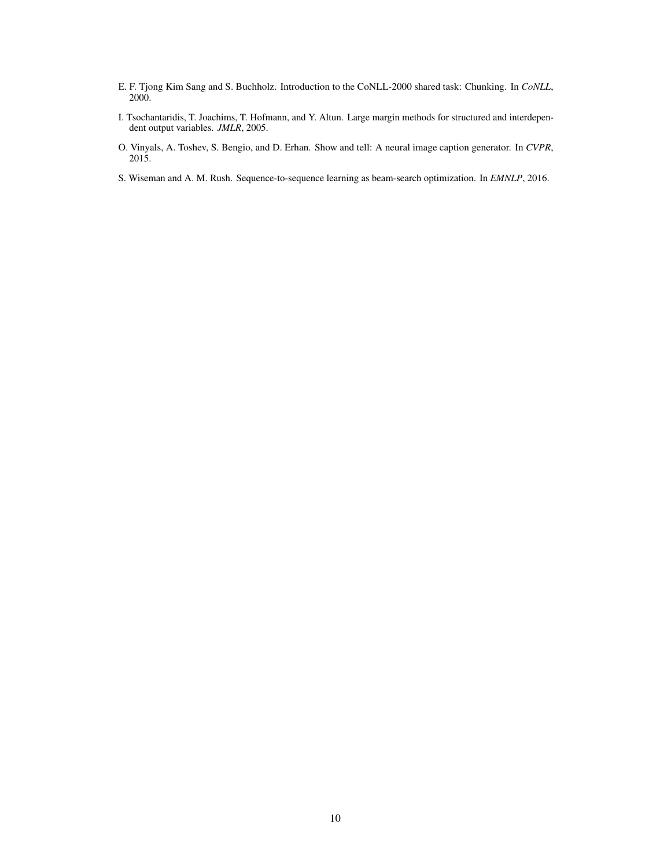- <span id="page-9-0"></span>E. F. Tjong Kim Sang and S. Buchholz. Introduction to the CoNLL-2000 shared task: Chunking. In *CoNLL*, 2000.
- I. Tsochantaridis, T. Joachims, T. Hofmann, and Y. Altun. Large margin methods for structured and interdependent output variables. *JMLR*, 2005.
- O. Vinyals, A. Toshev, S. Bengio, and D. Erhan. Show and tell: A neural image caption generator. In *CVPR*, 2015.
- S. Wiseman and A. M. Rush. Sequence-to-sequence learning as beam-search optimization. In *EMNLP*, 2016.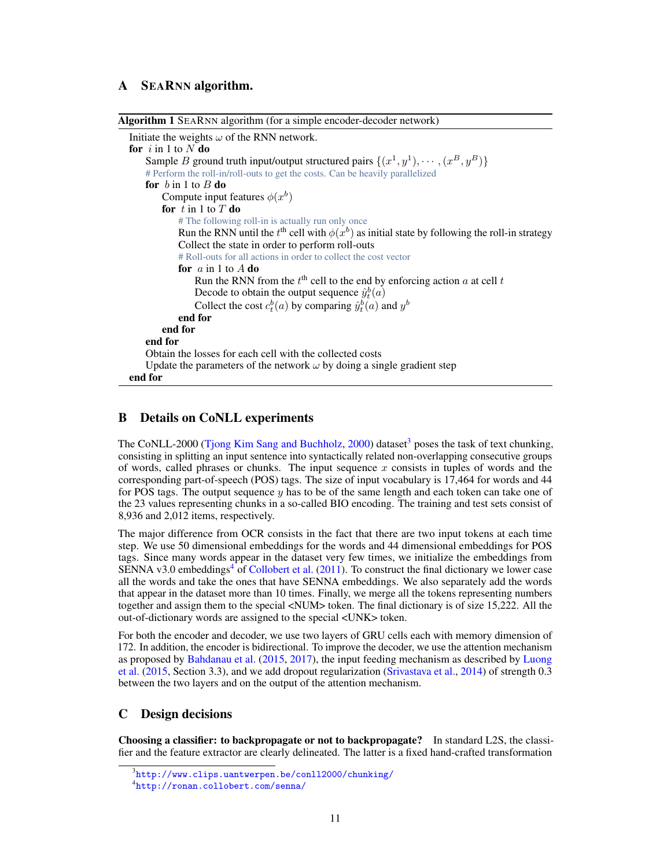## <span id="page-10-0"></span>A SEARNN algorithm.

| Algorithm 1 SEARNN algorithm (for a simple encoder-decoder network)                                            |
|----------------------------------------------------------------------------------------------------------------|
| Initiate the weights $\omega$ of the RNN network.                                                              |
| for $i$ in 1 to N do                                                                                           |
| Sample <i>B</i> ground truth input/output structured pairs $\{(x^1, y^1), \cdots, (x^B, y^B)\}\$               |
| # Perform the roll-in/roll-outs to get the costs. Can be heavily parallelized                                  |
| for $b$ in 1 to $B$ do                                                                                         |
| Compute input features $\phi(x^b)$                                                                             |
| for $t$ in 1 to $T$ do                                                                                         |
| # The following roll-in is actually run only once                                                              |
| Run the RNN until the t <sup>th</sup> cell with $\phi(x^b)$ as initial state by following the roll-in strategy |
| Collect the state in order to perform roll-outs                                                                |
| # Roll-outs for all actions in order to collect the cost vector                                                |
| for $a$ in 1 to $A$ do                                                                                         |
| Run the RNN from the $tth$ cell to the end by enforcing action a at cell t                                     |
| Decode to obtain the output sequence $\hat{y}_t^b(a)$                                                          |
| Collect the cost $c_t^b(a)$ by comparing $\hat{y}_t^b(a)$ and $y^b$                                            |
| end for                                                                                                        |
| end for                                                                                                        |
| end for                                                                                                        |
| Obtain the losses for each cell with the collected costs                                                       |
| Update the parameters of the network $\omega$ by doing a single gradient step                                  |
| end for                                                                                                        |

## B Details on CoNLL experiments

The CoNLL-2000 [\(Tjong Kim Sang and Buchholz,](#page-9-0) [2000\)](#page-9-0) dataset<sup>3</sup> poses the task of text chunking, consisting in splitting an input sentence into syntactically related non-overlapping consecutive groups of words, called phrases or chunks. The input sequence  $x$  consists in tuples of words and the corresponding part-of-speech (POS) tags. The size of input vocabulary is 17,464 for words and 44 for POS tags. The output sequence  $y$  has to be of the same length and each token can take one of the 23 values representing chunks in a so-called BIO encoding. The training and test sets consist of 8,936 and 2,012 items, respectively.

The major difference from OCR consists in the fact that there are two input tokens at each time step. We use 50 dimensional embeddings for the words and 44 dimensional embeddings for POS tags. Since many words appear in the dataset very few times, we initialize the embeddings from SENNA v3.0 embeddings<sup>4</sup> of [Collobert et al.](#page-8-0)  $(2011)$ . To construct the final dictionary we lower case all the words and take the ones that have SENNA embeddings. We also separately add the words that appear in the dataset more than 10 times. Finally, we merge all the tokens representing numbers together and assign them to the special <NUM> token. The final dictionary is of size 15,222. All the out-of-dictionary words are assigned to the special <UNK> token.

For both the encoder and decoder, we use two layers of GRU cells each with memory dimension of 172. In addition, the encoder is bidirectional. To improve the decoder, we use the attention mechanism as proposed by [Bahdanau et al.](#page-8-0) [\(2015,](#page-8-0) [2017\)](#page-8-0), the input feeding mechanism as described by [Luong](#page-8-0) [et al.](#page-8-0) [\(2015,](#page-8-0) Section 3.3), and we add dropout regularization [\(Srivastava et al.,](#page-8-0) [2014\)](#page-8-0) of strength 0.3 between the two layers and on the output of the attention mechanism.

#### C Design decisions

Choosing a classifier: to backpropagate or not to backpropagate? In standard L2S, the classifier and the feature extractor are clearly delineated. The latter is a fixed hand-crafted transformation

 $^3$ <http://www.clips.uantwerpen.be/conll2000/chunking/>

<sup>4</sup> <http://ronan.collobert.com/senna/>